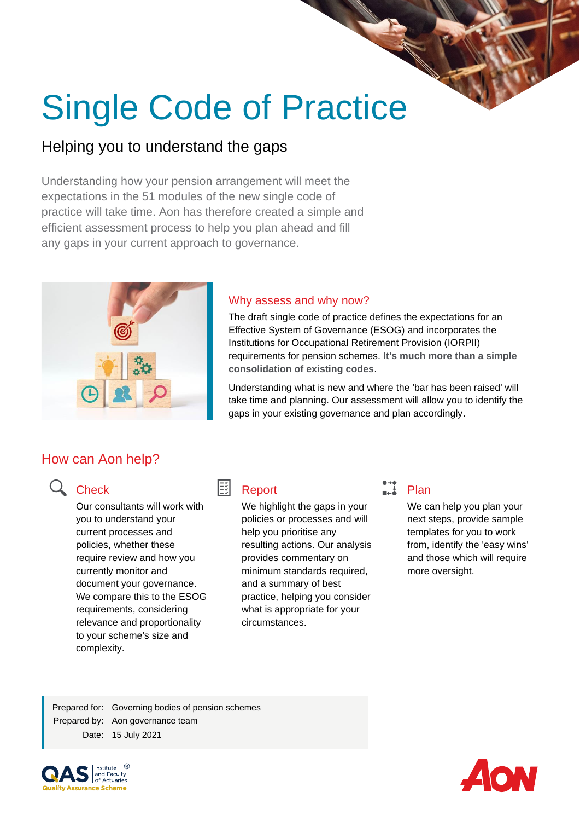# Single Code of Practice

# Helping you to understand the gaps

Understanding how your pension arrangement will meet the expectations in the 51 modules of the new single code of practice will take time. Aon has therefore created a simple and efficient assessment process to help you plan ahead and fill any gaps in your current approach to governance.



## Why assess and why now?

The draft single code of practice defines the expectations for an Effective System of Governance (ESOG) and incorporates the Institutions for Occupational Retirement Provision (IORPII) requirements for pension schemes. **It's much more than a simple consolidation of existing codes**.

Understanding what is new and where the 'bar has been raised' will take time and planning. Our assessment will allow you to identify the gaps in your existing governance and plan accordingly.

# How can Aon help?

# Q Check

Our consultants will work with you to understand your current processes and policies, whether these require review and how you currently monitor and document your governance. We compare this to the ESOG requirements, considering relevance and proportionality to your scheme's size and complexity.

#### EšL Report

We highlight the gaps in your policies or processes and will help you prioritise any resulting actions. Our analysis provides commentary on minimum standards required, and a summary of best practice, helping you consider what is appropriate for your circumstances.

# $\Box$  Plan

We can help you plan your next steps, provide sample templates for you to work from, identify the 'easy wins' and those which will require more oversight.

Prepared for: Governing bodies of pension schemes Prepared by: Aon governance team Date: 15 July 2021



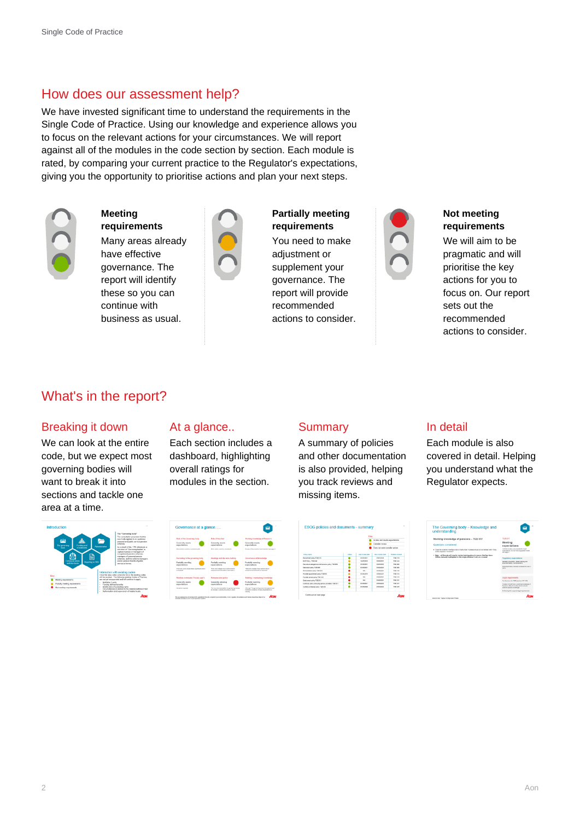# How does our assessment help?

We have invested significant time to understand the requirements in the Single Code of Practice. Using our knowledge and experience allows you to focus on the relevant actions for your circumstances. We will report against all of the modules in the code section by section. Each module is rated, by comparing your current practice to the Regulator's expectations, giving you the opportunity to prioritise actions and plan your next steps.



**Meeting requirements**

Many areas already have effective governance. The report will identify these so you can continue with business as usual.



**Partially meeting requirements** You need to make adjustment or supplement your governance. The report will provide recommended actions to consider.



### **Not meeting requirements**

We will aim to be pragmatic and will prioritise the key actions for you to focus on. Our report sets out the recommended actions to consider.

# What's in the report?

## Breaking it down

We can look at the entire code, but we expect most governing bodies will want to break it into sections and tackle one area at a time.

## At a glance..

Each section includes a dashboard, highlighting overall ratings for modules in the section.

## **Summary**

A summary of policies and other documentation is also provided, helping you track reviews and missing items.

|                                                         |              | Key                    |                                                                                     |                                              |  |
|---------------------------------------------------------|--------------|------------------------|-------------------------------------------------------------------------------------|----------------------------------------------|--|
|                                                         |              |                        | In date and meets expectations<br>Consider review<br>Does not exist consider action |                                              |  |
|                                                         |              |                        |                                                                                     |                                              |  |
|                                                         |              |                        |                                                                                     |                                              |  |
| Policy name                                             | <b>SAGUI</b> | Last receive date      | <b>South Advisory Ander</b>                                                         | <b><i><u><u>Related</u></u></i></b> would do |  |
| Recruitment action 7000 £14                             |              | <b><i>BARNINGS</i></b> | <b>INVESTIGA</b>                                                                    | TON FLA                                      |  |
| MAT Poly 1080H                                          |              | <b>NGAVING</b>         | <b><i>INVESTIGATION</i></b>                                                         | <b>TORATA</b>                                |  |
| Decretora designtors and decisions policy TDB 800       |              | <b>BARBINEY</b>        | 01/06/002                                                                           | 709.000                                      |  |
| Decision adjourned COS                                  |              | 01/03/2021             | grutogope                                                                           | T08 006                                      |  |
| Remuneration patton TDB 216                             |              | nes.                   | <b><i>ASSIMING</i></b>                                                              | <b>WORK FILE</b>                             |  |
| Provider appointment pullicy TORES3                     |              | <b>BARGERYS</b>        | <b>INVESTIGATION</b>                                                                | <b>TOM END</b>                               |  |
| Provider review policy TGB 018                          |              | <b>SAL</b>             | <b>GMONDOCO</b>                                                                     | TOM CAS                                      |  |
| Data hyperb extry 7026 001                              |              | nes.                   | <b><i>ASSESSMENT</i></b>                                                            | Wings area.                                  |  |
| Continuity policy (including seniors providers) 708-231 |              | <b>BARQUESTS</b>       | <b><i>INVESTIGATION</i></b>                                                         | <b>WORK BAN</b>                              |  |
| Conficts of Interest policy TGB ESI                     |              | <b>EMISSION</b>        | <b>SMADES</b>                                                                       | TOM COR                                      |  |

## In detail

Each module is also covered in detail. Helping you understand what the Regulator expects.



| Governance at a glance                                             |                                                                                            |                                                                                                         |
|--------------------------------------------------------------------|--------------------------------------------------------------------------------------------|---------------------------------------------------------------------------------------------------------|
| Role of the Governing body                                         | <b>Role of the chair</b>                                                                   | Warking knowledge of Permicra                                                                           |
| <b>Generally meets</b><br>expectations                             | <b>Generally meets</b><br>espectations                                                     | Generally meets<br>emartetives.                                                                         |
| Wince action could be considered with                              | Minor within blabt be considered                                                           | Review of Assuments recommended one cape 9                                                              |
| Recruiting to the governing body                                   | Meetings and decision reaking                                                              | Gevernmen of knowledge                                                                                  |
| Partially meeting<br>conscitations                                 | Partially meeting<br>expectations                                                          | <b>Partially meeting</b><br>experience                                                                  |
| There are some organ where standinged action<br><b>Manufacture</b> | There are multiple minor actions which<br>appropriately and aftered the improved art-      | There are multiple minor antium which<br>purpose of and should be insuranced                            |
| Member-nominated Trustee applis                                    | Remuneration policy                                                                        | Rublina / espezialism knowledge                                                                         |
| Gasarally maats<br>expectations                                    | Generally relesing<br>expectations                                                         | <b>Partially meeting</b><br>expectations                                                                |
| No action remined                                                  | This is a new grountation for covariate borday.<br>to consider summerly no order in above. | Although The envertisis high has annual envel<br>resident autonomial region associations. In<br>CORPORA |

| ٠           | The Governing body - Knowledge and<br>understanding                                                                                                    |                                                        |
|-------------|--------------------------------------------------------------------------------------------------------------------------------------------------------|--------------------------------------------------------|
| ۰<br>-      | Working knowledge of pensions - TGB 017<br>Questions considered                                                                                        | T08 417<br>Meeting                                     |
| -           |                                                                                                                                                        | expectat<br>Controls in class                          |
| -           | - Does the acheree maintain a lot of items that Trustees should all be familiar with? If ag.<br>is this requirery reviewed?                            | prescriptions had<br>see page 2                        |
| J<br>۰      | . Note - all finants will need to review insining plans to ensure that hey dome.<br>Jehere minnerd Alphilphind in the Single Moduler Code are covered. | Regulatory of                                          |
| ۰           |                                                                                                                                                        | <b>Industries docume</b><br><b>BULINET BUSIN</b>       |
| ۰<br>۰<br>- |                                                                                                                                                        | Essences de base<br>ma's.                              |
| ۰           |                                                                                                                                                        | Legal require                                          |
| ۰<br>۰      |                                                                                                                                                        | The Services Ave                                       |
| -           |                                                                                                                                                        | Tradess should<br>Familyn william<br>scherie specifici |
| I           |                                                                                                                                                        | <b>European Pike</b>                                   |
| N           | State for Ada-Plane 2417 Shale cale of Politike                                                                                                        |                                                        |
|             |                                                                                                                                                        |                                                        |